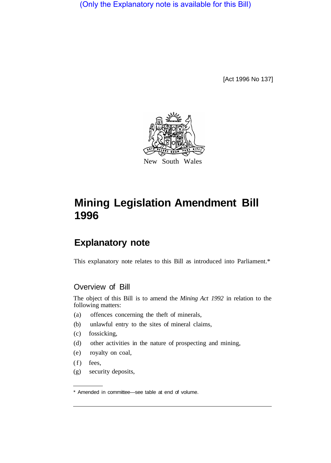(Only the Explanatory note is available for this Bill)

[Act 1996 No 137]



## **Mining Legislation Amendment Bill 1996**

## **Explanatory note**

This explanatory note relates to this Bill as introduced into Parliament.\*

## Overview of Bill

The object of this Bill is to amend the *Mining Act 1992* in relation to the following matters:

- (a) offences concerning the theft of minerals,
- (b) unlawful entry to the sites of mineral claims,
- (c) fossicking,
- (d) other activities in the nature of prospecting and mining,
- (e) royalty on coal,
- (f) fees,
- (g) security deposits,

<sup>\*</sup> Amended in committee—see table at end of volume.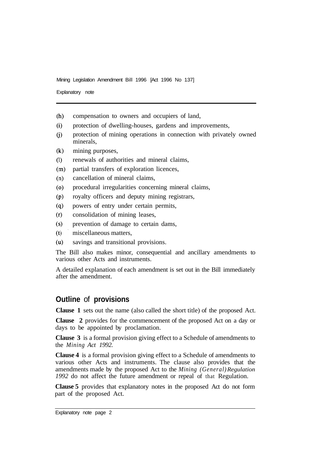Mining Legislation Amendment Bill 1996 [Act 1996 No 137]

Explanatory note

- $(h)$ compensation to owners and occupiers of land,
- $(i)$ protection of dwelling-houses, gardens and improvements,
- protection of mining operations in connection with privately owned  $(i)$ minerals,
- $(k)$ mining purposes,
- $(1)$ renewals of authorities and mineral claims,
- $(m)$ partial transfers of exploration licences,
- $(n)$ cancellation of mineral claims,
- procedural irregularities concerning mineral claims,  $(o)$
- royalty officers and deputy mining registrars,  $(p)$
- powers of entry under certain permits,  $(q)$
- consolidation of mining leases,  $(r)$
- $(s)$ prevention of damage to certain dams,
- $(t)$ miscellaneous matters,
- $(u)$ savings and transitional provisions.

The Bill also makes minor, consequential and ancillary amendments to various other Acts and instruments.

A detailed explanation of each amendment is set out in the Bill immediately after the amendment.

## **Outline** of **provisions**

**Clause 1** sets out the name (also called the short title) of the proposed Act.

**Clause 2** provides for the commencement of the proposed Act on a day or days to be appointed by proclamation.

**Clause 3** is a formal provision giving effect to a Schedule of amendments to the *Mining Act 1992.* 

**Clause 4** is a formal provision giving effect to a Schedule of amendments to various other Acts and instruments. The clause also provides that the amendments made by the proposed Act to the *Mining (General) Regulation 1992* do not affect the future amendment or repeal of that Regulation.

**Clause 5** provides that explanatory notes in the proposed Act do not form part of the proposed Act.